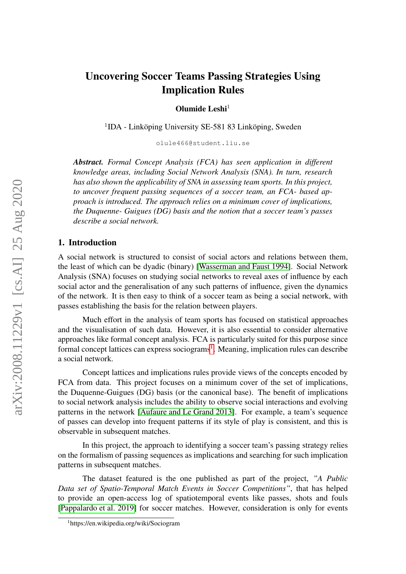# Uncovering Soccer Teams Passing Strategies Using Implication Rules

Olumide Leshi $<sup>1</sup>$ </sup>

<sup>1</sup>IDA - Linköping University SE-581 83 Linköping, Sweden

olule466@student.liu.se

*Abstract. Formal Concept Analysis (FCA) has seen application in different knowledge areas, including Social Network Analysis (SNA). In turn, research has also shown the applicability of SNA in assessing team sports. In this project, to uncover frequent passing sequences of a soccer team, an FCA- based approach is introduced. The approach relies on a minimum cover of implications, the Duquenne- Guigues (DG) basis and the notion that a soccer team's passes describe a social network.*

#### 1. Introduction

A social network is structured to consist of social actors and relations between them, the least of which can be dyadic (binary) [\[Wasserman and Faust 1994\]](#page-9-0). Social Network Analysis (SNA) focuses on studying social networks to reveal axes of influence by each social actor and the generalisation of any such patterns of influence, given the dynamics of the network. It is then easy to think of a soccer team as being a social network, with passes establishing the basis for the relation between players.

Much effort in the analysis of team sports has focused on statistical approaches and the visualisation of such data. However, it is also essential to consider alternative approaches like formal concept analysis. FCA is particularly suited for this purpose since formal concept lattices can express sociograms<sup>[1](#page-0-0)</sup>. Meaning, implication rules can describe a social network.

Concept lattices and implications rules provide views of the concepts encoded by FCA from data. This project focuses on a minimum cover of the set of implications, the Duquenne-Guigues (DG) basis (or the canonical base). The benefit of implications to social network analysis includes the ability to observe social interactions and evolving patterns in the network [\[Aufaure and Le Grand 2013\]](#page-8-0). For example, a team's sequence of passes can develop into frequent patterns if its style of play is consistent, and this is observable in subsequent matches.

In this project, the approach to identifying a soccer team's passing strategy relies on the formalism of passing sequences as implications and searching for such implication patterns in subsequent matches.

The dataset featured is the one published as part of the project, *"A Public Data set of Spatio-Temporal Match Events in Soccer Competitions"*, that has helped to provide an open-access log of spatiotemporal events like passes, shots and fouls [\[Pappalardo et al. 2019\]](#page-9-1) for soccer matches. However, consideration is only for events

<span id="page-0-0"></span><sup>1</sup>https://en.wikipedia.org/wiki/Sociogram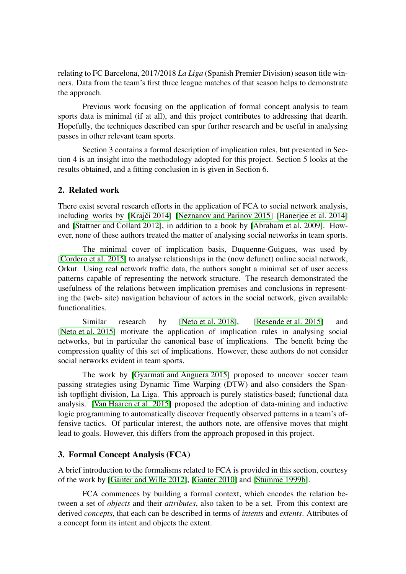relating to FC Barcelona, 2017/2018 *La Liga* (Spanish Premier Division) season title winners. Data from the team's first three league matches of that season helps to demonstrate the approach.

Previous work focusing on the application of formal concept analysis to team sports data is minimal (if at all), and this project contributes to addressing that dearth. Hopefully, the techniques described can spur further research and be useful in analysing passes in other relevant team sports.

Section 3 contains a formal description of implication rules, but presented in Section 4 is an insight into the methodology adopted for this project. Section 5 looks at the results obtained, and a fitting conclusion in is given in Section 6.

### 2. Related work

There exist several research efforts in the application of FCA to social network analysis, including works by [Krajči 2014] [\[Neznanov and Parinov 2015\]](#page-9-2) [Baneriee et al. 2014] and [\[Stattner and Collard 2012\]](#page-9-3), in addition to a book by [\[Abraham et al. 2009\]](#page-8-3). However, none of these authors treated the matter of analysing social networks in team sports.

The minimal cover of implication basis, Duquenne-Guigues, was used by [\[Cordero et al. 2015\]](#page-8-4) to analyse relationships in the (now defunct) online social network, Orkut. Using real network traffic data, the authors sought a minimal set of user access patterns capable of representing the network structure. The research demonstrated the usefulness of the relations between implication premises and conclusions in representing the (web- site) navigation behaviour of actors in the social network, given available functionalities.

Similar research by [\[Neto et al. 2018\]](#page-8-5), [\[Resende et al. 2015\]](#page-9-4) and [\[Neto et al. 2015\]](#page-8-6) motivate the application of implication rules in analysing social networks, but in particular the canonical base of implications. The benefit being the compression quality of this set of implications. However, these authors do not consider social networks evident in team sports.

The work by [\[Gyarmati and Anguera 2015\]](#page-8-7) proposed to uncover soccer team passing strategies using Dynamic Time Warping (DTW) and also considers the Spanish topflight division, La Liga. This approach is purely statistics-based; functional data analysis. [\[Van Haaren et al. 2015\]](#page-9-5) proposed the adoption of data-mining and inductive logic programming to automatically discover frequently observed patterns in a team's offensive tactics. Of particular interest, the authors note, are offensive moves that might lead to goals. However, this differs from the approach proposed in this project.

# 3. Formal Concept Analysis (FCA)

A brief introduction to the formalisms related to FCA is provided in this section, courtesy of the work by [\[Ganter and Wille 2012\]](#page-8-8), [\[Ganter 2010\]](#page-8-9) and [\[Stumme 1999b\]](#page-9-6).

FCA commences by building a formal context, which encodes the relation between a set of *objects* and their *attributes*, also taken to be a set. From this context are derived *concepts*, that each can be described in terms of *intents* and *extents*. Attributes of a concept form its intent and objects the extent.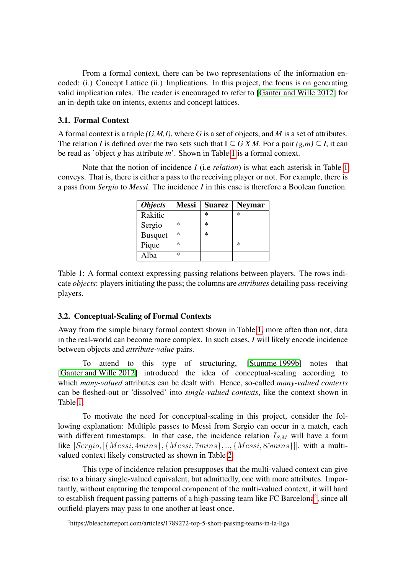From a formal context, there can be two representations of the information encoded: (i.) Concept Lattice (ii.) Implications. In this project, the focus is on generating valid implication rules. The reader is encouraged to refer to [\[Ganter and Wille 2012\]](#page-8-8) for an in-depth take on intents, extents and concept lattices.

### 3.1. Formal Context

A formal context is a triple *(G,M,I)*, where *G* is a set of objects, and *M* is a set of attributes. The relation *I* is defined over the two sets such that  $I \subseteq G X M$ . For a pair  $(g,m) \subseteq I$ , it can be read as 'object *g* has attribute *m*'. Shown in Table [1](#page-2-0) is a formal context.

Note that the notion of incidence *I* (i.e *relation*) is what each asterisk in Table [1](#page-2-0) conveys. That is, there is either a pass to the receiving player or not. For example, there is a pass from *Sergio* to *Messi*. The incidence *I* in this case is therefore a Boolean function.

| <i><b>Objects</b></i> | <b>Messi</b> | <b>Suarez</b> | <b>Neymar</b> |
|-----------------------|--------------|---------------|---------------|
| Rakitic               |              | *             | *             |
| Sergio                | *            | *             |               |
| <b>Busquet</b>        | *            | *             |               |
| Pique                 | *            |               | *             |
| Alba                  | *            |               |               |

<span id="page-2-0"></span>Table 1: A formal context expressing passing relations between players. The rows indicate *objects*: players initiating the pass; the columns are *attributes* detailing pass-receiving players.

### 3.2. Conceptual-Scaling of Formal Contexts

Away from the simple binary formal context shown in Table [1,](#page-2-0) more often than not, data in the real-world can become more complex. In such cases, *I* will likely encode incidence between objects and *attribute-value* pairs.

To attend to this type of structuring, [\[Stumme 1999b\]](#page-9-6) notes that [\[Ganter and Wille 2012\]](#page-8-8) introduced the idea of conceptual-scaling according to which *many-valued* attributes can be dealt with. Hence, so-called *many-valued contexts* can be fleshed-out or 'dissolved' into *single-valued contexts*, like the context shown in Table [1.](#page-2-0)

To motivate the need for conceptual-scaling in this project, consider the following explanation: Multiple passes to Messi from Sergio can occur in a match, each with different timestamps. In that case, the incidence relation  $I_{S,M}$  will have a form like [Sergio, [{Messi, 4mins}, {Messi, 7mins}, .., {Messi, 85mins}]], with a multivalued context likely constructed as shown in Table [2.](#page-3-0)

This type of incidence relation presupposes that the multi-valued context can give rise to a binary single-valued equivalent, but admittedly, one with more attributes. Importantly, without capturing the temporal component of the multi-valued context, it will hard to establish frequent passing patterns of a high-passing team like FC Barcelona<sup>[2](#page-2-1)</sup>, since all outfield-players may pass to one another at least once.

<span id="page-2-1"></span><sup>2</sup>https://bleacherreport.com/articles/1789272-top-5-short-passing-teams-in-la-liga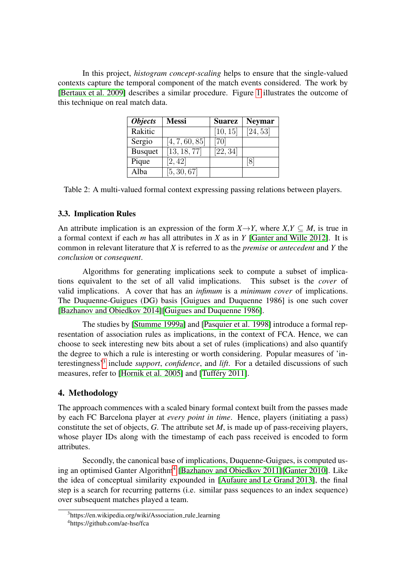In this project, *histogram concept-scaling* helps to ensure that the single-valued contexts capture the temporal component of the match events considered. The work by [\[Bertaux et al. 2009\]](#page-8-10) describes a similar procedure. Figure [1](#page-5-0) illustrates the outcome of this technique on real match data.

| <i><b>Objects</b></i> | <b>Messi</b>   | <b>Suarez</b> | <b>Neymar</b>        |
|-----------------------|----------------|---------------|----------------------|
| Rakitic               |                | [10, 15]      | $\overline{[24,53]}$ |
| Sergio                | [4, 7, 60, 85] | $[70]$        |                      |
| <b>Busquet</b>        | [13, 18, 77]   | [22, 34]      |                      |
| Pique                 | [2, 42]        |               |                      |
| Alba                  | [5, 30, 67]    |               |                      |

<span id="page-3-0"></span>Table 2: A multi-valued formal context expressing passing relations between players.

# 3.3. Implication Rules

An attribute implication is an expression of the form  $X \rightarrow Y$ , where  $X, Y \subseteq M$ , is true in a formal context if each *m* has all attributes in *X* as in *Y* [\[Ganter and Wille 2012\]](#page-8-8). It is common in relevant literature that *X* is referred to as the *premise* or *antecedent* and *Y* the *conclusion* or *consequent*.

Algorithms for generating implications seek to compute a subset of implications equivalent to the set of all valid implications. This subset is the *cover* of valid implications. A cover that has an *infimum* is a *minimum cover* of implications. The Duquenne-Guigues (DG) basis [Guigues and Duquenne 1986] is one such cover [\[Bazhanov and Obiedkov 2014\]](#page-8-11)[\[Guigues and Duquenne 1986\]](#page-8-12).

The studies by [\[Stumme 1999a\]](#page-9-7) and [\[Pasquier et al. 1998\]](#page-9-8) introduce a formal representation of association rules as implications, in the context of FCA. Hence, we can choose to seek interesting new bits about a set of rules (implications) and also quantify the degree to which a rule is interesting or worth considering. Popular measures of 'interestingness'[3](#page-3-1) include *support*, *confidence*, and *lift*. For a detailed discussions of such measures, refer to [\[Hornik et al. 2005\]](#page-8-13) and [Tufféry 2011].

# 4. Methodology

The approach commences with a scaled binary formal context built from the passes made by each FC Barcelona player at *every point in time*. Hence, players (initiating a pass) constitute the set of objects, *G*. The attribute set *M*, is made up of pass-receiving players, whose player IDs along with the timestamp of each pass received is encoded to form attributes.

Secondly, the canonical base of implications, Duquenne-Guigues, is computed us-ing an optimised Ganter Algorithm<sup>[4](#page-3-2)</sup> [\[Bazhanov and Obiedkov 2011\]](#page-8-14)[\[Ganter 2010\]](#page-8-9). Like the idea of conceptual similarity expounded in [\[Aufaure and Le Grand 2013\]](#page-8-0), the final step is a search for recurring patterns (i.e. similar pass sequences to an index sequence) over subsequent matches played a team.

<span id="page-3-1"></span><sup>&</sup>lt;sup>3</sup>https://en.wikipedia.org/wiki/Association\_rule\_learning

<span id="page-3-2"></span><sup>4</sup>https://github.com/ae-hse/fca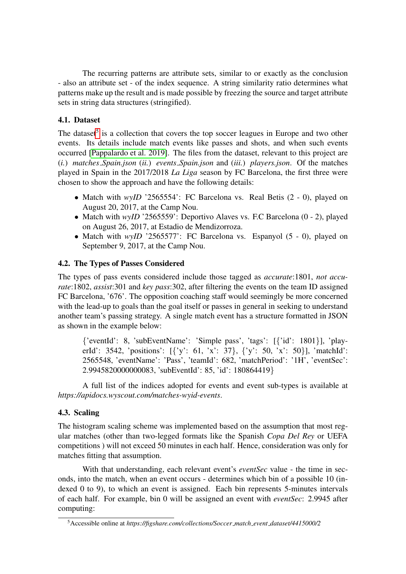The recurring patterns are attribute sets, similar to or exactly as the conclusion - also an attribute set - of the index sequence. A string similarity ratio determines what patterns make up the result and is made possible by freezing the source and target attribute sets in string data structures (stringified).

# 4.1. Dataset

The dataset<sup>[5](#page-4-0)</sup> is a collection that covers the top soccer leagues in Europe and two other events. Its details include match events like passes and shots, and when such events occurred [\[Pappalardo et al. 2019\]](#page-9-1). The files from the dataset, relevant to this project are (*i.*) *matches Spain.json* (*ii.*) *events Spain.json* and (*iii.*) *players.json*. Of the matches played in Spain in the 2017/2018 *La Liga* season by FC Barcelona, the first three were chosen to show the approach and have the following details:

- Match with *wyID* '2565554': FC Barcelona vs. Real Betis (2 0), played on August 20, 2017, at the Camp Nou.
- Match with *wyID* '2565559': Deportivo Alaves vs. F.C Barcelona (0 2), played on August 26, 2017, at Estadio de Mendizorroza.
- Match with *wyID* '2565577': FC Barcelona vs. Espanyol (5 0), played on September 9, 2017, at the Camp Nou.

# 4.2. The Types of Passes Considered

The types of pass events considered include those tagged as *accurate*:1801, *not accurate*:1802, *assist*:301 and *key pass*:302, after filtering the events on the team ID assigned FC Barcelona, '676'. The opposition coaching staff would seemingly be more concerned with the lead-up to goals than the goal itself or passes in general in seeking to understand another team's passing strategy. A single match event has a structure formatted in JSON as shown in the example below:

{'eventId': 8, 'subEventName': 'Simple pass', 'tags': [{'id': 1801}], 'playerId': 3542, 'positions': [{'y': 61, 'x': 37}, {'y': 50, 'x': 50}], 'matchId': 2565548, 'eventName': 'Pass', 'teamId': 682, 'matchPeriod': '1H', 'eventSec': 2.9945820000000083, 'subEventId': 85, 'id': 180864419}

A full list of the indices adopted for events and event sub-types is available at *https://apidocs.wyscout.com/matches-wyid-events*.

# 4.3. Scaling

The histogram scaling scheme was implemented based on the assumption that most regular matches (other than two-legged formats like the Spanish *Copa Del Rey* or UEFA competitions ) will not exceed 50 minutes in each half. Hence, consideration was only for matches fitting that assumption.

With that understanding, each relevant event's *eventSec* value - the time in seconds, into the match, when an event occurs - determines which bin of a possible 10 (indexed 0 to 9), to which an event is assigned. Each bin represents 5-minutes intervals of each half. For example, bin 0 will be assigned an event with *eventSec*: 2.9945 after computing:

<span id="page-4-0"></span><sup>5</sup>Accessible online at *https://figshare.com/collections/Soccer match event dataset/4415000/2*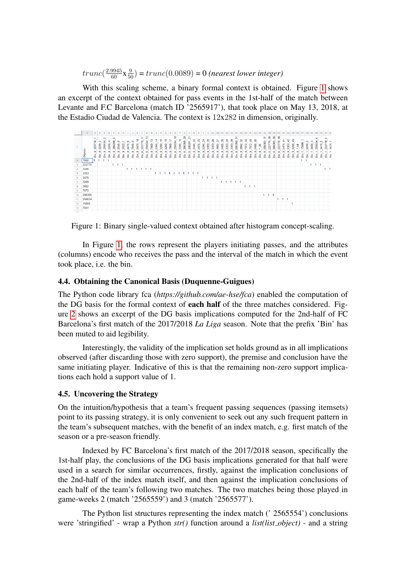$trunc(\frac{2.9945}{60} \times \frac{9}{50}) = trunc(0.0089) = 0$  (nearest lower integer)

With this scaling scheme, a binary formal context is obtained. Figure [1](#page-5-0) shows an excerpt of the context obtained for pass events in the 1st-half of the match between Levante and F.C Barcelona (match ID '2565917'), that took place on May 13, 2018, at the Estadio Ciudad de Valencia. The context is 12x282 in dimension, originally.



<span id="page-5-0"></span>Figure 1: Binary single-valued context obtained after histogram concept-scaling.

In Figure [1,](#page-5-0) the rows represent the players initiating passes, and the attributes (columns) encode who receives the pass and the interval of the match in which the event took place, i.e. the bin.

#### 4.4. Obtaining the Canonical Basis (Duquenne-Guigues)

The Python code library fca (*https://github.com/ae-hse/fca*) enabled the computation of the DG basis for the formal context of each half of the three matches considered. Figure [2](#page-6-0) shows an excerpt of the DG basis implications computed for the 2nd-half of FC Barcelona's first match of the 2017/2018 *La Liga* season. Note that the prefix 'Bin' has been muted to aid legibility.

Interestingly, the validity of the implication set holds ground as in all implications observed (after discarding those with zero support), the premise and conclusion have the same initiating player. Indicative of this is that the remaining non-zero support implications each hold a support value of 1.

### 4.5. Uncovering the Strategy

On the intuition/hypothesis that a team's frequent passing sequences (passing itemsets) point to its passing strategy, it is only convenient to seek out any such frequent pattern in the team's subsequent matches, with the benefit of an index match, e.g. first match of the season or a pre-season friendly.

Indexed by FC Barcelona's first match of the 2017/2018 season, specifically the 1st-half play, the conclusions of the DG basis implications generated for that half were used in a search for similar occurrences, firstly, against the implication conclusions of the 2nd-half of the index match itself, and then against the implication conclusions of each half of the team's following two matches. The two matches being those played in game-weeks 2 (match '2565559') and 3 (match '2565577').

The Python list structures representing the index match (' 2565554') conclusions were 'stringified' - wrap a Python *str()* function around a *list(list object)* - and a string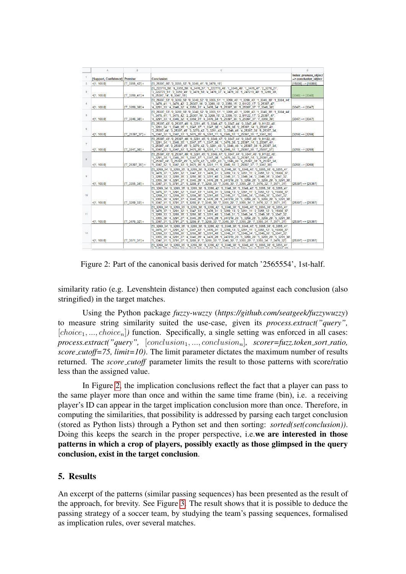|                | A                             | B                     | c                                                                                                                                                                                                                                                                                                                                                                                                                                                                                                                                                     | n.                                            |
|----------------|-------------------------------|-----------------------|-------------------------------------------------------------------------------------------------------------------------------------------------------------------------------------------------------------------------------------------------------------------------------------------------------------------------------------------------------------------------------------------------------------------------------------------------------------------------------------------------------------------------------------------------------|-----------------------------------------------|
|                | [Support, Confidence] Premise |                       | <b>Conclusion</b>                                                                                                                                                                                                                                                                                                                                                                                                                                                                                                                                     | Index: premise object<br>-> conclusion object |
| $\overline{2}$ | 41, 100.01                    | $T7$ 3355 42'] =      | ['0 25397 60', '3 3355 52', '5 3346 41', '6 3476 16']                                                                                                                                                                                                                                                                                                                                                                                                                                                                                                 | [15008] --> [15008]                           |
| 3              | $\leq$ [1, 100.0]             | $['7_3359_41'] =$     | ['0_222770_58', '0_3355_59', '0_3476_57', '1_222770_48', '1_3346_49', '1_3476_47', '2_3270_21',<br>'3 222770 51', '3 3359 49', '3 3476 50', '4 3476 37', '4 3476 38', '5 247219 40', '5 3269 39',<br>'6_25397_14', '6_3347_15']                                                                                                                                                                                                                                                                                                                       | $[3348] \rightarrow [3348]$                   |
| $\Delta$       | $\leq 1, 100.0$               | $[7 \ 3359 \ 39] =$   | ['0_26307_53', '0_3269_50', '0_3348_52', '0_3355_51', '1_3269_40', '1_3269_43', '1_3346_39', '1_3384_44',<br>'1 3476 41', '1 3476 42', '2 26307 16', '2 3269 18', '2 3359 15', '2 91122 17', '3 25397 47',<br>'4_3291_33', '4_3346_32', '4_3359_31', '4_3476_34', '5_25397_36', '5_25397_37', '7_3346_38']                                                                                                                                                                                                                                            | $[3347] \rightarrow [3347]$                   |
| 5              | $\leq 1, 100.0$               | $[T7 \ 3346 \ 38] =$  | ['0 26307 53', '0 3269 50', '0 3348 52', '0 3355 51', '1 3269 40', '1 3269 43', '1 3346 39', '1 3384 44',<br>'1 3476 41', '1 3476 42', '2 26307 16', '2 3269 18', '2 3359 15', '2 91122 17', '3 25397 47',<br>'4 3291 33', '4 3346 32', '4 3359 31', '4 3476 34', '5 25397 36', '5 25397 37', '7 3359 39']                                                                                                                                                                                                                                            | $[3347] \rightarrow [3347]$                   |
| 6              | $\leq$ [1, 100.0]             | $[T25397_37] =$       | (0 25397 43' '0 25397 49' '0 3291 45' '0 3346 47' '0 3347 44' '0 3347 46' '0 91122 48'<br>'1 3291 34', '1 3346 35', '1 3347 37', '1 3347 38', '1 3476 36', '2 25397 14', '3 25397 41',<br>'3 25397 44', '3 25397 45', '3 3270 42', '3 3291 43', '3 3346 46', '4 25397 30', '5 25397 34',<br>'5_3347_32', '5_3347_33', '5_3476_35', '6_3291_11', '6_3346_10', '7_25397_35', '7_3347_36']                                                                                                                                                               | [3269] -- > [3269]                            |
| $\overline{7}$ | $\P$ 1, 100.01                | $[T7 3347 36'] =$     | (0 25397 43', '0 25397 49', '0 3291 45', '0 3346 47', '0 3347 44', '0 3347 46', '0 91122 48',<br>'1 3291 34', '1 3346 35', '1 3347 37', '1 3347 38', '1 3476 36', '2 25397 14', '3 25397 41',<br>'3 25397 44', '3 25397 45', '3 3270 42', '3 3291 43', '3 3346 46', '4 25397 30', '5 25397 34',<br>'5 3347 32', '5 3347 33', '5 3476 35', '6 3291 11', '6 3346 10', '7 25397 35', '7 25397 37']                                                                                                                                                       | $[3269] \rightarrow [3269]$                   |
| 8              | $\leq 1, 100.0$               | $[7 25397 35] =$      | ['0 25397 43', '0 25397 49', '0 3291 45', '0 3346 47', '0 3347 44', '0 3347 46', '0 91122 48',<br>'1 3291 34', '1 3346 35', '1 3347 37', '1 3347 38', '1 3476 36', '2 25397 14', '3 25397 41',<br>'3_25397_44', '3_25397_45', '3_3270_42', '3_3291_43', '3_3346_46', '4_25397_30', '5_25397_34',<br>'5 3347 32', '5 3347 33', '5 3476 35', '6 3291 11', '6 3346 10', '7 25397 37', '7 3347 36']                                                                                                                                                       | $[3269] \rightarrow [3269]$                   |
| $\circ$        | $\leq 1, 100.0$               | $ 17 \t3355 \t34'  =$ | ['0 3269 34', '0 3269 35', '0 3269 38', '0 3269 42', '0 3346 39', '0 3346 40', '0 3355 36', '0 3355 41',<br>0 3476 37', '1 3291 32', '1 3347 33', '1 3476 31', '2 3269 13', '2 3291 11', '2 3355 12', '3 15008 37',<br>'3 3269 33', '3 3269 35', '3 3269 38', '3 3291 40', '3 3346 31', '3 3346 34', '3 3346 36', '3 3347 32',<br>'3_3355_39', '4_3291_27', '4_3346_29', '4_3476_28', '5_247219_26', '5_3269_28', '5_3269_29', '5_3291_30',<br>'5 3347 31', '5 3791 27', '6 3269 9', '7 3269 33', '7 3346 30', '7 3355 29', '7 3476 32', '7 3571 31'] | (25397) -- > [25397]                          |
| 10             | $\leq 1, 100.0$               | $ 17 \t3269 \t33  =$  | ['0 3269 34', '0 3269 35', '0 3269 38', '0 3269 42', '0 3346 39', '0 3346 40', '0 3355 36', '0 3355 41',<br>0 3476 37', '1 3291 32', '1 3347 33', '1 3476 31', '2 3269 13', '2 3291 11', '2 3355 12', '3 15008 37',<br>'3 3269 33', '3 3269 35', '3 3269 38', '3 3291 40', '3 3346 31', '3 3346 34', '3 3346 36', '3 3347 32',<br>'3 3355 39'.'4 3291 27'.'4 3346 29'.'4 3476 28'.'5 247219 26'.'5 3269 28'.'5 3269 29'.'5 3291 30'.<br>'5 3347 31', '5 3791 27', '6 3269 9', '7 3346 30', '7 3355 29', '7 3355 34', '7 3476 32', '7 3571 31']        | I253971 -- > I253971                          |
| 11             | $\leq 1, 100.01$              | $[T7 \ 3476 \ 32'] =$ | ['0 3269 34', '0 3269 35', '0 3269 38', '0 3269 42', '0 3346 39', '0 3346 40', '0 3355 36', '0 3355 41',<br>0 3476 37', '1 3291 32', '1 3347 33', '1 3476 31', '2 3269 13', '2 3291 11', '2 3355 12', '3 15008 37',<br>'3 3269 33', '3 3269 35', '3 3269 38', '3 3291 40', '3 3346 31', '3 3346 34', '3 3346 36', '3 3347 32',<br>'3 3355 39', '4 3291 27', '4 3346 29', '4 3476 28', '5 247219 26', '5 3269 28', '5 3269 29', '5 3291 30',<br>'5 3347 31', '5 3791 27', '6 3269 9', '7 3269 33', '7 3346 30', '7 3355 29', '7 3355 34', '7 3571 31'] | [25397] -- > [25397]                          |
| 12             | $\leq$ [1, 100.0]             | $[7 - 3571 - 31] =$   | ['0_3269_34', '0_3269_35', '0_3269_38', '0_3269_42', '0_3346_39', '0_3346_40', '0_3355_36', '0_3355_41',<br>0 3476 37' '1 3291 32' '1 3347 33' '1 3476 31' '2 3269 13' '2 3291 11' '2 3355 12' '3 15008 37'<br>'3_3269_33', '3_3269_35', '3_3269_38', '3_3291_40', '3_3346_31', '3_3346_34', '3_3346_36', '3_3347_32',<br>'3 3355 39', '4 3291 27', '4 3346 29', '4 3476 28', '5 247219 26', '5 3269 28', '5 3269 29', '5 3291 30',<br>'5 3347 31', '5 3791 27', '6 3269 9', '7 3269 33', '7 3346 30', '7 3355 29', '7 3355 34', '7 3476 32']         | $[25397] \rightarrow [25397]$                 |
|                |                               |                       | ['0_3269_34', '0_3269_35', '0_3269_38', '0_3269_42', '0_3346_39', '0_3346_40', '0_3355_36', '0_3355_41',                                                                                                                                                                                                                                                                                                                                                                                                                                              |                                               |

<span id="page-6-0"></span>Figure 2: Part of the canonical basis derived for match '2565554', 1st-half.

similarity ratio (e.g. Levenshtein distance) then computed against each conclusion (also stringified) in the target matches.

Using the Python package *fuzzy-wuzzy* (*https://github.com/seatgeek/fuzzywuzzy*) to measure string similarity suited the use-case, given its *process.extract("query",*  $[choice_1, ..., choice_n]$  function. Specifically, a single setting was enforced in all cases: *process.extract("query",* [conclusion<sub>1</sub>, ..., conclusion<sub>n</sub>], scorer=fuzz.token\_sort\_ratio, *score cutoff=75, limit=10)*. The limit parameter dictates the maximum number of results returned. The *score\_cutoff* parameter limits the result to those patterns with score/ratio less than the assigned value.

In Figure [2,](#page-6-0) the implication conclusions reflect the fact that a player can pass to the same player more than once and within the same time frame (bin), i.e. a receiving player's ID can appear in the target implication conclusion more than once. Therefore, in computing the similarities, that possibility is addressed by parsing each target conclusion (stored as Python lists) through a Python set and then sorting: *sorted(set(conclusion))*. Doing this keeps the search in the proper perspective, i.e.we are interested in those patterns in which a crop of players, possibly exactly as those glimpsed in the query conclusion, exist in the target conclusion.

# 5. Results

An excerpt of the patterns (similar passing sequences) has been presented as the result of the approach, for brevity. See Figure [3.](#page-7-0) The result shows that it is possible to deduce the passing strategy of a soccer team, by studying the team's passing sequences, formalised as implication rules, over several matches.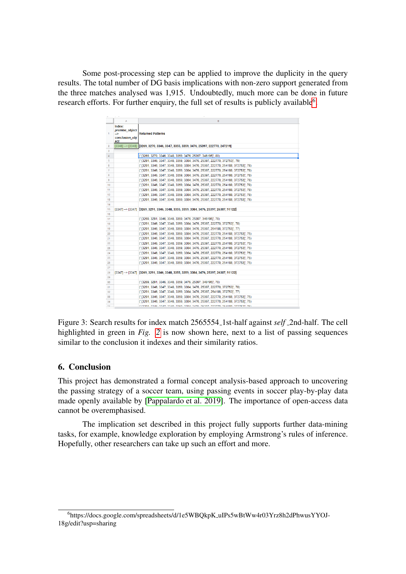Some post-processing step can be applied to improve the duplicity in the query results. The total number of DG basis implications with non-zero support generated from the three matches analysed was 1,915. Undoubtedly, much more can be done in future research efforts. For further enquiry, the full set of results is publicly available<sup>[6](#page-7-1)</sup>.

|     | Α                                                                  | в                                                                                             |
|-----|--------------------------------------------------------------------|-----------------------------------------------------------------------------------------------|
| 1   | Index:<br>premise_object<br>$\rightarrow$<br>conclusion obj<br>ect | <b>Returned Patterns</b>                                                                      |
| 2   |                                                                    | $[3348]$ --> $[3348]$ $[3269, 3270, 3346, 3347, 3355, 3359, 3476, 25397, 222770, 247219]$     |
| 3   |                                                                    |                                                                                               |
| 4   |                                                                    | (" [3269, 3270, 3346, 3348, 3359, 3476, 25397, 346195]", 80)                                  |
| 5   |                                                                    | (' [3291, 3346, 3347, 3348, 3359, 3384, 3476, 25397, 222770, 372753]', 79)                    |
| 6   |                                                                    | (' [3291, 3346, 3347, 3348, 3359, 3384, 3476, 25397, 222770, 254188, 372753]', 78)            |
| 7   |                                                                    | (' [3291, 3346, 3347, 3348, 3359, 3384, 3476, 25397, 222770, 254188, 372753)', 78)            |
| 8   |                                                                    | (' [3291, 3346, 3347, 3348, 3359, 3384, 3476, 25397, 222770, 254188, 372753)', 78)            |
| 9   |                                                                    | (' [3291, 3346, 3347, 3348, 3359, 3384, 3476, 25397, 222770, 254188, 372753)', 78)            |
| 10  |                                                                    | (' [3291, 3346, 3347, 3348, 3359, 3384, 3476, 25397, 222770, 254188, 372753)', 78)            |
| 11  |                                                                    | (' [3291, 3346, 3347, 3348, 3359, 3384, 3476, 25397, 222770, 254188, 372753)', 78)            |
| 12  |                                                                    | (' [3291, 3346, 3347, 3348, 3359, 3384, 3476, 25397, 222770, 254188, 372753)', 78)            |
| 13  |                                                                    | (' [3291, 3346, 3347, 3348, 3359, 3384, 3476, 25397, 222770, 254188, 372753]', 78)            |
| 14  |                                                                    |                                                                                               |
| 15  |                                                                    | [3347] --> [3347] [3269, 3291, 3346, 3348, 3355, 3359, 3384, 3476, 25397, 26307, 91122]       |
| 16  |                                                                    |                                                                                               |
| 17  |                                                                    | (' [3269, 3291, 3346, 3348, 3359, 3476, 25397, 346195]', 78)                                  |
| 18  |                                                                    | (' [3291, 3346, 3347, 3348, 3359, 3384, 3476, 25397, 222770, 372753]', 78)                    |
| 19  |                                                                    | (' [3291, 3346, 3347, 3348, 3359, 3384, 3476, 25397, 254188, 372753]', 77)                    |
| 20  |                                                                    | (' [3291, 3346, 3347, 3348, 3359, 3384, 3476, 25397, 222770, 254188, 372753]', 75)            |
| 21  |                                                                    | (' [3291, 3346, 3347, 3348, 3359, 3384, 3476, 25397, 222770, 254188, 372753]', 75)            |
| 22  |                                                                    | (' [3291, 3346, 3347, 3348, 3359, 3384, 3476, 25397, 222770, 254188, 372753)', 75)            |
| 23  |                                                                    | (' [3291, 3346, 3347, 3348, 3359, 3384, 3476, 25397, 222770, 254188, 372753]', 75)            |
| 24  |                                                                    | (' 13291, 3346, 3347, 3348, 3359, 3384, 3476, 25397, 222770, 254188, 3727531', 75)            |
| 25  |                                                                    | (' [3291, 3346, 3347, 3348, 3359, 3384, 3476, 25397, 222770, 254188, 372753]', 75)            |
| 26  |                                                                    | (' [3291, 3346, 3347, 3348, 3359, 3384, 3476, 25397, 222770, 254188, 372753]', 75)            |
| 27  |                                                                    |                                                                                               |
| 28  |                                                                    | $[3347]$ --> $[3347]$ $[3269, 3291, 3346, 3348, 3355, 3359, 3384, 3476, 25397, 26307, 91122]$ |
| 29  |                                                                    |                                                                                               |
| 30  |                                                                    | (' [3269, 3291, 3346, 3348, 3359, 3476, 25397, 346195]', 78)                                  |
| 31  |                                                                    | (' [3291, 3346, 3347, 3348, 3359, 3384, 3476, 25397, 222770, 372753]', 78)                    |
| 32  |                                                                    | (' [3291, 3346, 3347, 3348, 3359, 3384, 3476, 25397, 254188, 372753]', 77)                    |
| 33  |                                                                    | (' 13291, 3346, 3347, 3348, 3359, 3384, 3476, 25397, 222770, 254188, 3727531', 75)            |
| 34  |                                                                    | (' [3291, 3346, 3347, 3348, 3359, 3384, 3476, 25397, 222770, 254188, 372753]', 75)            |
| ne. |                                                                    | ופל יורפלרלר ההוופר הללכרר להרפר פלור והרך הפרר הורך לורך פורך והררזה                         |

<span id="page-7-0"></span>Figure 3: Search results for index match 2565554 1st-half against *self* 2nd-half. The cell highlighted in green in *Fig. [2](#page-6-0)* is now shown here, next to a list of passing sequences similar to the conclusion it indexes and their similarity ratios.

# 6. Conclusion

This project has demonstrated a formal concept analysis-based approach to uncovering the passing strategy of a soccer team, using passing events in soccer play-by-play data made openly available by [\[Pappalardo et al. 2019\]](#page-9-1). The importance of open-access data cannot be overemphasised.

The implication set described in this project fully supports further data-mining tasks, for example, knowledge exploration by employing Armstrong's rules of inference. Hopefully, other researchers can take up such an effort and more.

<span id="page-7-1"></span><sup>6</sup>https://docs.google.com/spreadsheets/d/1e5WBQkpK uIPs5wBtWw4r03Yrz8h2dPhwusYYOJ-18g/edit?usp=sharing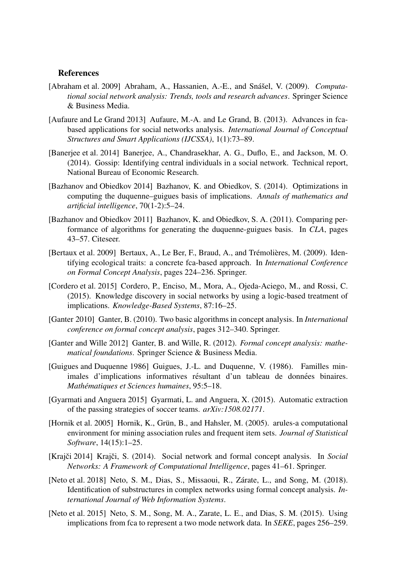#### **References**

- <span id="page-8-3"></span>[Abraham et al. 2009] Abraham, A., Hassanien, A.-E., and Snášel, V. (2009). *Computational social network analysis: Trends, tools and research advances*. Springer Science & Business Media.
- <span id="page-8-0"></span>[Aufaure and Le Grand 2013] Aufaure, M.-A. and Le Grand, B. (2013). Advances in fcabased applications for social networks analysis. *International Journal of Conceptual Structures and Smart Applications (IJCSSA)*, 1(1):73–89.
- <span id="page-8-2"></span>[Banerjee et al. 2014] Banerjee, A., Chandrasekhar, A. G., Duflo, E., and Jackson, M. O. (2014). Gossip: Identifying central individuals in a social network. Technical report, National Bureau of Economic Research.
- <span id="page-8-11"></span>[Bazhanov and Obiedkov 2014] Bazhanov, K. and Obiedkov, S. (2014). Optimizations in computing the duquenne–guigues basis of implications. *Annals of mathematics and artificial intelligence*, 70(1-2):5–24.
- <span id="page-8-14"></span>[Bazhanov and Obiedkov 2011] Bazhanov, K. and Obiedkov, S. A. (2011). Comparing performance of algorithms for generating the duquenne-guigues basis. In *CLA*, pages 43–57. Citeseer.
- <span id="page-8-10"></span>[Bertaux et al. 2009] Bertaux, A., Le Ber, F., Braud, A., and Trémolières, M. (2009). Identifying ecological traits: a concrete fca-based approach. In *International Conference on Formal Concept Analysis*, pages 224–236. Springer.
- <span id="page-8-4"></span>[Cordero et al. 2015] Cordero, P., Enciso, M., Mora, A., Ojeda-Aciego, M., and Rossi, C. (2015). Knowledge discovery in social networks by using a logic-based treatment of implications. *Knowledge-Based Systems*, 87:16–25.
- <span id="page-8-9"></span>[Ganter 2010] Ganter, B. (2010). Two basic algorithms in concept analysis. In *International conference on formal concept analysis*, pages 312–340. Springer.
- <span id="page-8-8"></span>[Ganter and Wille 2012] Ganter, B. and Wille, R. (2012). *Formal concept analysis: mathematical foundations*. Springer Science & Business Media.
- <span id="page-8-12"></span>[Guigues and Duquenne 1986] Guigues, J.-L. and Duquenne, V. (1986). Familles minimales d'implications informatives résultant d'un tableau de données binaires. *Mathématiques et Sciences humaines* 95:5–18.
- <span id="page-8-7"></span>[Gyarmati and Anguera 2015] Gyarmati, L. and Anguera, X. (2015). Automatic extraction of the passing strategies of soccer teams. *arXiv:1508.02171*.
- <span id="page-8-13"></span>[Hornik et al. 2005] Hornik, K., Grün, B., and Hahsler, M. (2005). arules-a computational environment for mining association rules and frequent item sets. *Journal of Statistical Software*, 14(15):1–25.
- <span id="page-8-1"></span>[Krajči 2014] Krajči, S. (2014). Social network and formal concept analysis. In Social *Networks: A Framework of Computational Intelligence*, pages 41–61. Springer.
- <span id="page-8-5"></span>[Neto et al. 2018] Neto, S. M., Dias, S., Missaoui, R., Zárate, L., and Song, M. (2018). Identification of substructures in complex networks using formal concept analysis. *International Journal of Web Information Systems*.
- <span id="page-8-6"></span>[Neto et al. 2015] Neto, S. M., Song, M. A., Zarate, L. E., and Dias, S. M. (2015). Using implications from fca to represent a two mode network data. In *SEKE*, pages 256–259.